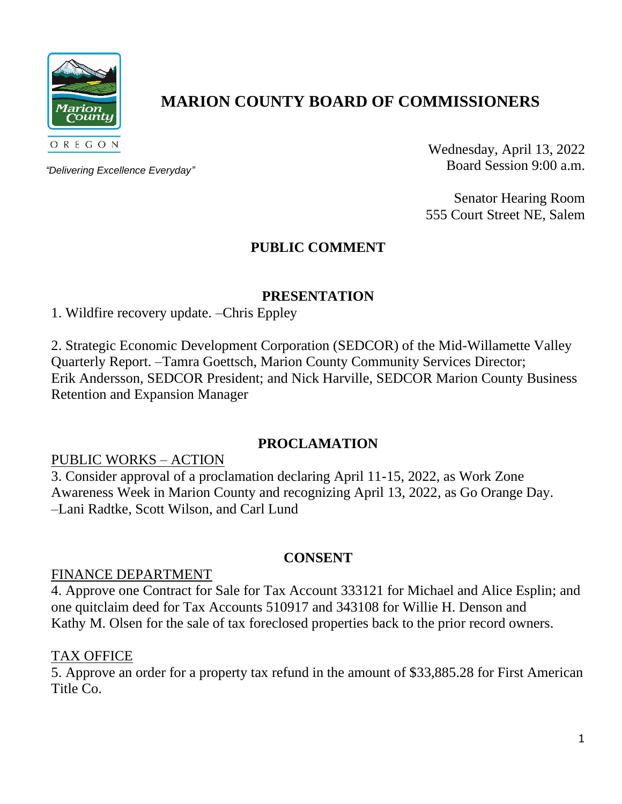

# **MARION COUNTY BOARD OF COMMISSIONERS**

*"Delivering Excellence Everyday"*

Wednesday, April 13, 2022 Board Session 9:00 a.m.

Senator Hearing Room 555 Court Street NE, Salem

## **PUBLIC COMMENT**

## **PRESENTATION**

1. Wildfire recovery update. –Chris Eppley

2. Strategic Economic Development Corporation (SEDCOR) of the Mid-Willamette Valley Quarterly Report. –Tamra Goettsch, Marion County Community Services Director; Erik Andersson, SEDCOR President; and Nick Harville, SEDCOR Marion County Business Retention and Expansion Manager

#### **PROCLAMATION**

## PUBLIC WORKS – ACTION

3. Consider approval of a proclamation declaring April 11-15, 2022, as Work Zone Awareness Week in Marion County and recognizing April 13, 2022, as Go Orange Day. –Lani Radtke, Scott Wilson, and Carl Lund

## **CONSENT**

#### FINANCE DEPARTMENT

4. Approve one Contract for Sale for Tax Account 333121 for Michael and Alice Esplin; and one quitclaim deed for Tax Accounts 510917 and 343108 for Willie H. Denson and Kathy M. Olsen for the sale of tax foreclosed properties back to the prior record owners.

#### TAX OFFICE

5. Approve an order for a property tax refund in the amount of \$33,885.28 for First American Title Co.